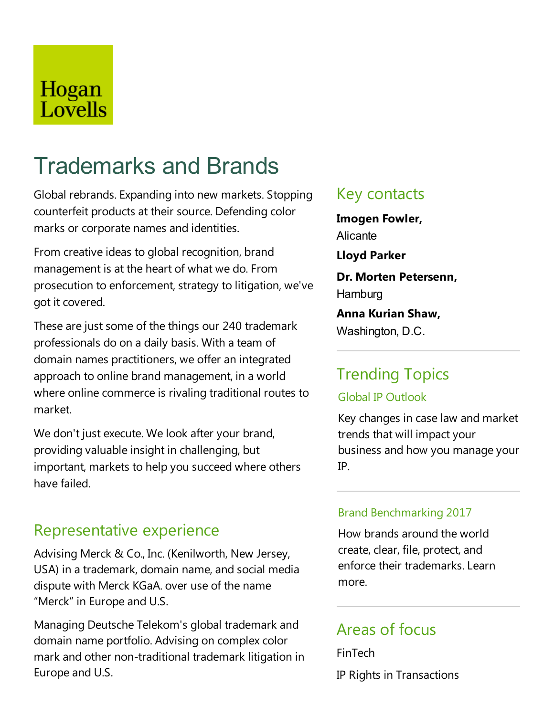## Hogan Lovells

# Trademarks and Brands

Global rebrands.Expanding into new markets. Stopping counterfeit products at their source. Defending color marks or corporate names and identities.

From creative ideas to global recognition, brand management is at the heart of what we do. From prosecution to enforcement, strategy to litigation, we've got it covered.

These are just some of the things our 240 trademark professionals do on a daily basis. With a team of domain names practitioners, we offer an integrated approach to online brand management, in a world where online commerce is rivaling traditional routes to market.

We don't just execute. We look after your brand, providing valuable insight in challenging, but important, markets to help you succeed where others have failed.

### Representative experience

Advising Merck & Co., Inc. (Kenilworth, New Jersey, USA) in a trademark, domain name, and social media dispute with Merck KGaA. over use of the name "Merck" in Europe and U.S.

Managing Deutsche Telekom's global trademark and domain name portfolio. Advising on complex color mark and other non-traditional trademark litigation in Europe and U.S.

### Key contacts

**Imogen Fowler,** Alicante

**Lloyd Parker**

**Dr. Morten Petersenn, Hamburg** 

**Anna Kurian Shaw,** Washington, D.C.

### Trending Topics

### Global IP Outlook

Key changes in caselaw and market trends that will impact your business and how you manage your IP.

### Brand Benchmarking 2017

How brands around the world create, clear, file, protect, and enforce their trademarks. Learn more.

### Areas of focus

FinTech IP Rights in Transactions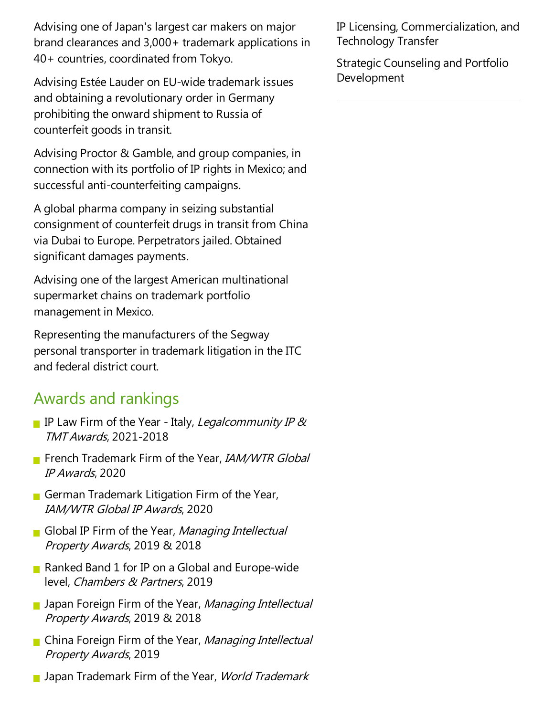Advising one of Japan's largest car makers on major brand clearances and 3,000+ trademark applications in 40+ countries, coordinated from Tokyo.

Advising Estée Lauder on EU-wide trademark issues and obtaining a revolutionary order in Germany prohibiting the onward shipment to Russia of counterfeit goods in transit.

Advising Proctor & Gamble, and group companies, in connection with its portfolio of IP rights in Mexico;and successful anti-counterfeiting campaigns.

A global pharmacompany in seizing substantial consignment of counterfeit drugs in transit from China via Dubai to Europe. Perpetrators jailed. Obtained significant damages payments.

Advising one of the largest American multinational supermarket chains on trademark portfolio management in Mexico.

Representing the manufacturers of the Segway personal transporter in trademark litigation in the ITC and federal district court.

### Awards and rankings

- IP Law Firm of the Year Italy, Legalcommunity IP  $\alpha$ TMT Awards, 2021-2018
- French Trademark Firm of the Year, IAM/WTR Global IP Awards, 2020
- German Trademark Litigation Firm of the Year, IAM/WTR Global IP Awards, 2020
- Global IP Firm of the Year, Managing Intellectual Property Awards, 2019 & 2018
- Ranked Band 1 for IP on a Global and Europe-wide level, Chambers & Partners, 2019
- Japan Foreign Firm of the Year, Managing Intellectual Property Awards, 2019 & 2018
- China Foreign Firm of the Year, Managing Intellectual Property Awards, 2019
- **Japan Trademark Firm of the Year, World Trademark**

IP Licensing, Commercialization, and Technology Transfer

Strategic Counseling and Portfolio Development